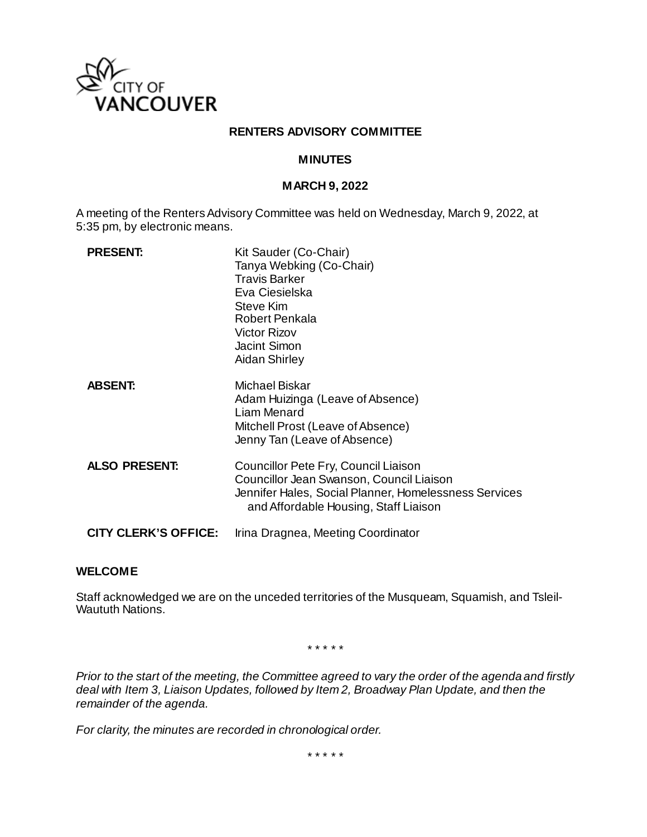

## **RENTERS ADVISORY COMMITTEE**

### **MINUTES**

## **MARCH 9, 2022**

A meeting of the Renters Advisory Committee was held on Wednesday, March 9, 2022, at 5:35 pm, by electronic means.

| <b>PRESENT:</b>             | Kit Sauder (Co-Chair)<br>Tanya Webking (Co-Chair)<br><b>Travis Barker</b><br>Eva Ciesielska<br>Steve Kim<br>Robert Penkala<br><b>Victor Rizov</b><br><b>Jacint Simon</b><br><b>Aidan Shirley</b> |
|-----------------------------|--------------------------------------------------------------------------------------------------------------------------------------------------------------------------------------------------|
| <b>ABSENT:</b>              | Michael Biskar<br>Adam Huizinga (Leave of Absence)<br>Liam Menard<br>Mitchell Prost (Leave of Absence)<br>Jenny Tan (Leave of Absence)                                                           |
| <b>ALSO PRESENT:</b>        | Councillor Pete Fry, Council Liaison<br>Councillor Jean Swanson, Council Liaison<br>Jennifer Hales, Social Planner, Homelessness Services<br>and Affordable Housing, Staff Liaison               |
| <b>CITY CLERK'S OFFICE:</b> | Irina Dragnea, Meeting Coordinator                                                                                                                                                               |

### **WELCOME**

Staff acknowledged we are on the unceded territories of the Musqueam, Squamish, and Tsleil-Waututh Nations.

\* \* \* \* \*

*Prior to the start of the meeting, the Committee agreed to vary the order of the agenda and firstly deal with Item 3, Liaison Updates, followed by Item 2, Broadway Plan Update, and then the remainder of the agenda.* 

*For clarity, the minutes are recorded in chronological order.*

\* \* \* \* \*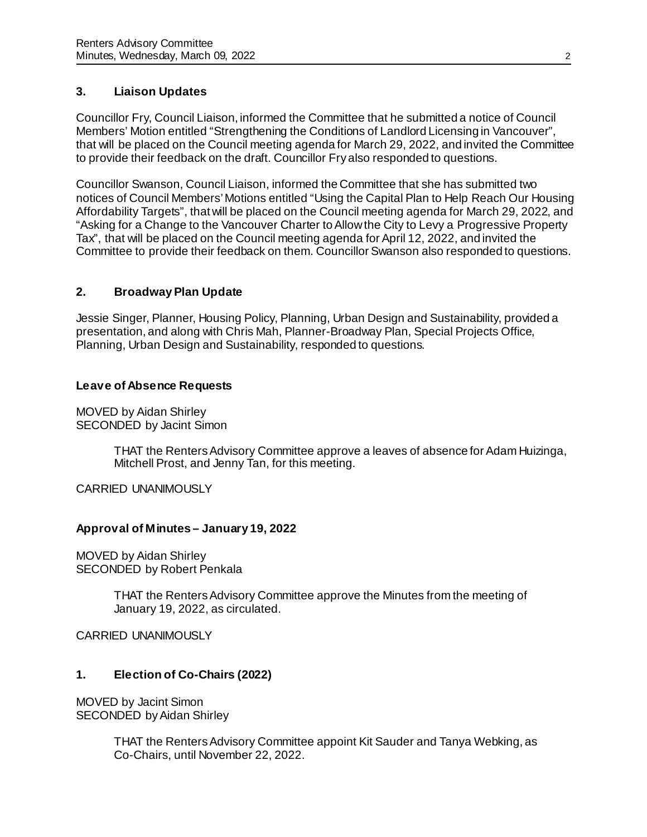# **3. Liaison Updates**

Councillor Fry, Council Liaison, informed the Committee that he submitted a notice of Council Members' Motion entitled "Strengthening the Conditions of Landlord Licensing in Vancouver", that will be placed on the Council meeting agenda for March 29, 2022, and invited the Committee to provide their feedback on the draft. Councillor Fry also responded to questions.

Councillor Swanson, Council Liaison, informed the Committee that she has submitted two notices of Council Members' Motions entitled "Using the Capital Plan to Help Reach Our Housing Affordability Targets", that will be placed on the Council meeting agenda for March 29, 2022, and "Asking for a Change to the Vancouver Charter to Allow the City to Levy a Progressive Property Tax", that will be placed on the Council meeting agenda for April 12, 2022, and invited the Committee to provide their feedback on them. Councillor Swanson also responded to questions.

# **2. Broadway Plan Update**

Jessie Singer, Planner, Housing Policy, Planning, Urban Design and Sustainability, provided a presentation, and along with Chris Mah, Planner-Broadway Plan, Special Projects Office, Planning, Urban Design and Sustainability, responded to questions.

# **Leave of Absence Requests**

MOVED by Aidan Shirley SECONDED by Jacint Simon

> THAT the Renters Advisory Committee approve a leaves of absence for Adam Huizinga, Mitchell Prost, and Jenny Tan, for this meeting.

CARRIED UNANIMOUSLY

# **Approval of Minutes – January 19, 2022**

MOVED by Aidan Shirley SECONDED by Robert Penkala

> THAT the Renters Advisory Committee approve the Minutes from the meeting of January 19, 2022, as circulated.

CARRIED UNANIMOUSLY

# **1. Election of Co-Chairs (2022)**

MOVED by Jacint Simon SECONDED by Aidan Shirley

> THAT the Renters Advisory Committee appoint Kit Sauder and Tanya Webking, as Co-Chairs, until November 22, 2022.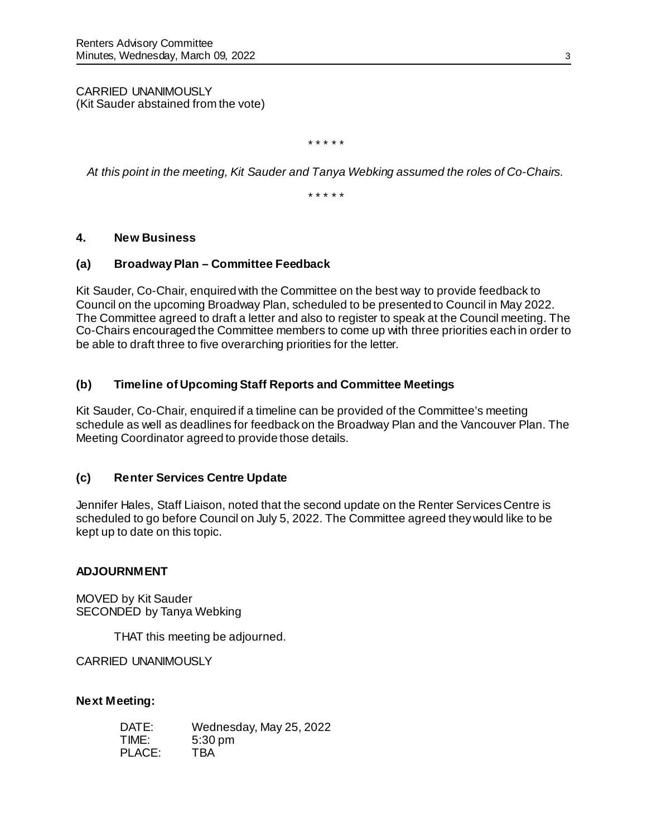CARRIED UNANIMOUSLY (Kit Sauder abstained from the vote)

*\* \* \* \* \**

*At this point in the meeting, Kit Sauder and Tanya Webking assumed the roles of Co-Chairs.*

*\* \* \* \* \**

## **4. New Business**

### **(a) Broadway Plan – Committee Feedback**

Kit Sauder, Co-Chair, enquired with the Committee on the best way to provide feedback to Council on the upcoming Broadway Plan, scheduled to be presented to Council in May 2022. The Committee agreed to draft a letter and also to register to speak at the Council meeting. The Co-Chairs encouraged the Committee members to come up with three priorities each in order to be able to draft three to five overarching priorities for the letter.

# **(b) Timeline of Upcoming Staff Reports and Committee Meetings**

Kit Sauder, Co-Chair, enquired if a timeline can be provided of the Committee's meeting schedule as well as deadlines for feedback on the Broadway Plan and the Vancouver Plan. The Meeting Coordinator agreed to provide those details.

# **(c) Renter Services Centre Update**

Jennifer Hales, Staff Liaison, noted that the second update on the Renter Services Centre is scheduled to go before Council on July 5, 2022. The Committee agreed they would like to be kept up to date on this topic.

### **ADJOURNMENT**

MOVED by Kit Sauder SECONDED by Tanya Webking

THAT this meeting be adjourned.

CARRIED UNANIMOUSLY

### **Next Meeting:**

| DATE:  | Wednesday, May 25, 2022 |
|--------|-------------------------|
| TIME:  | $5:30$ pm               |
| PLACE: | <b>TBA</b>              |